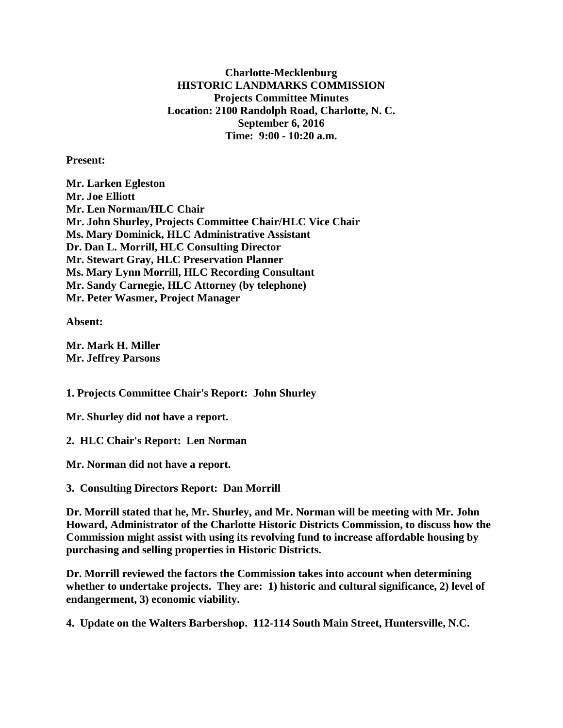**Charlotte-Mecklenburg HISTORIC LANDMARKS COMMISSION Projects Committee Minutes Location: 2100 Randolph Road, Charlotte, N. C. September 6, 2016 Time: 9:00 - 10:20 a.m.**

**Present:**

**Mr. Larken Egleston Mr. Joe Elliott Mr. Len Norman/HLC Chair Mr. John Shurley, Projects Committee Chair/HLC Vice Chair Ms. Mary Dominick, HLC Administrative Assistant Dr. Dan L. Morrill, HLC Consulting Director Mr. Stewart Gray, HLC Preservation Planner Ms. Mary Lynn Morrill, HLC Recording Consultant Mr. Sandy Carnegie, HLC Attorney (by telephone) Mr. Peter Wasmer, Project Manager**

**Absent:**

**Mr. Mark H. Miller Mr. Jeffrey Parsons**

**1. Projects Committee Chair's Report: John Shurley**

**Mr. Shurley did not have a report.**

**2. HLC Chair's Report: Len Norman**

**Mr. Norman did not have a report.**

**3. Consulting Directors Report: Dan Morrill**

**Dr. Morrill stated that he, Mr. Shurley, and Mr. Norman will be meeting with Mr. John Howard, Administrator of the Charlotte Historic Districts Commission, to discuss how the Commission might assist with using its revolving fund to increase affordable housing by purchasing and selling properties in Historic Districts.**

**Dr. Morrill reviewed the factors the Commission takes into account when determining whether to undertake projects. They are: 1) historic and cultural significance, 2) level of endangerment, 3) economic viability.**

**4. Update on the Walters Barbershop. 112-114 South Main Street, Huntersville, N.C.**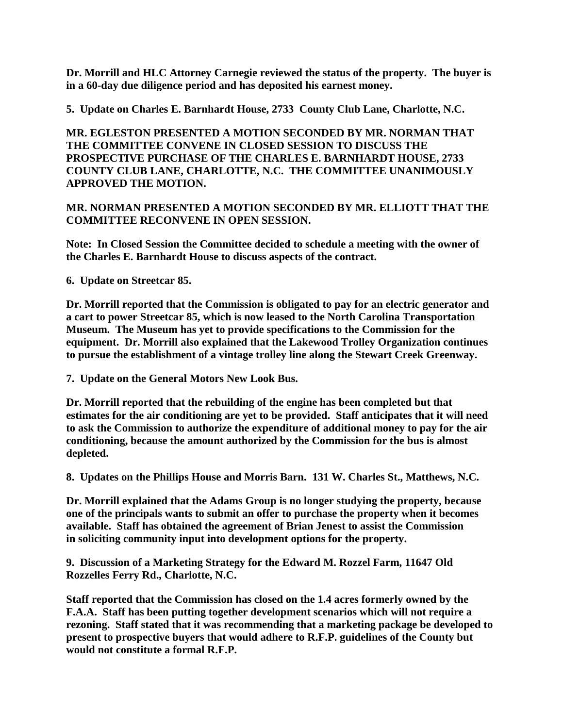**Dr. Morrill and HLC Attorney Carnegie reviewed the status of the property. The buyer is in a 60-day due diligence period and has deposited his earnest money.**

**5. Update on Charles E. Barnhardt House, 2733 County Club Lane, Charlotte, N.C.**

**MR. EGLESTON PRESENTED A MOTION SECONDED BY MR. NORMAN THAT THE COMMITTEE CONVENE IN CLOSED SESSION TO DISCUSS THE PROSPECTIVE PURCHASE OF THE CHARLES E. BARNHARDT HOUSE, 2733 COUNTY CLUB LANE, CHARLOTTE, N.C. THE COMMITTEE UNANIMOUSLY APPROVED THE MOTION.**

**MR. NORMAN PRESENTED A MOTION SECONDED BY MR. ELLIOTT THAT THE COMMITTEE RECONVENE IN OPEN SESSION.**

**Note: In Closed Session the Committee decided to schedule a meeting with the owner of the Charles E. Barnhardt House to discuss aspects of the contract.**

**6. Update on Streetcar 85.**

**Dr. Morrill reported that the Commission is obligated to pay for an electric generator and a cart to power Streetcar 85, which is now leased to the North Carolina Transportation Museum. The Museum has yet to provide specifications to the Commission for the equipment. Dr. Morrill also explained that the Lakewood Trolley Organization continues to pursue the establishment of a vintage trolley line along the Stewart Creek Greenway.**

**7. Update on the General Motors New Look Bus.**

**Dr. Morrill reported that the rebuilding of the engine has been completed but that estimates for the air conditioning are yet to be provided. Staff anticipates that it will need to ask the Commission to authorize the expenditure of additional money to pay for the air conditioning, because the amount authorized by the Commission for the bus is almost depleted.**

**8. Updates on the Phillips House and Morris Barn. 131 W. Charles St., Matthews, N.C.**

**Dr. Morrill explained that the Adams Group is no longer studying the property, because one of the principals wants to submit an offer to purchase the property when it becomes available. Staff has obtained the agreement of Brian Jenest to assist the Commission in soliciting community input into development options for the property.**

**9. Discussion of a Marketing Strategy for the Edward M. Rozzel Farm, 11647 Old Rozzelles Ferry Rd., Charlotte, N.C.**

**Staff reported that the Commission has closed on the 1.4 acres formerly owned by the F.A.A. Staff has been putting together development scenarios which will not require a rezoning. Staff stated that it was recommending that a marketing package be developed to present to prospective buyers that would adhere to R.F.P. guidelines of the County but would not constitute a formal R.F.P.**